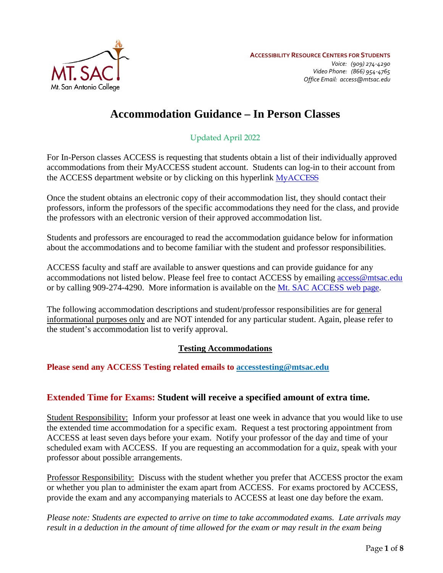

# **Accommodation Guidance – In Person Classes**

# Updated April 2022

For In-Person classes ACCESS is requesting that students obtain a list of their individually approved accommodations from their MyACCESS student account. Students can log-in to their account from the ACCESS department website or by clicking on this hyperlink [MyACCESS](https://prodweb.mtsac.edu/prodapex/f?p=MYACCESS)

Once the student obtains an electronic copy of their accommodation list, they should contact their professors, inform the professors of the specific accommodations they need for the class, and provide the professors with an electronic version of their approved accommodation list.

Students and professors are encouraged to read the accommodation guidance below for information about the accommodations and to become familiar with the student and professor responsibilities.

ACCESS faculty and staff are available to answer questions and can provide guidance for any accommodations not listed below. Please feel free to contact ACCESS by emailing [access@mtsac.edu](mailto:access@mtsac.edu) or by calling 909-274-4290. More information is available on the [Mt. SAC ACCESS web page.](https://www.mtsac.edu/access/)

The following accommodation descriptions and student/professor responsibilities are for general informational purposes only and are NOT intended for any particular student. Again, please refer to the student's accommodation list to verify approval.

## **Testing Accommodations**

**Please send any ACCESS Testing related emails to [accesstesting@mtsac.edu](mailto:accesstesting@mtsac.edu)**

# **Extended Time for Exams: Student will receive a specified amount of extra time.**

Student Responsibility: Inform your professor at least one week in advance that you would like to use the extended time accommodation for a specific exam. Request a test proctoring appointment from ACCESS at least seven days before your exam. Notify your professor of the day and time of your scheduled exam with ACCESS. If you are requesting an accommodation for a quiz, speak with your professor about possible arrangements.

Professor Responsibility: Discuss with the student whether you prefer that ACCESS proctor the exam or whether you plan to administer the exam apart from ACCESS. For exams proctored by ACCESS, provide the exam and any accompanying materials to ACCESS at least one day before the exam.

*Please note: Students are expected to arrive on time to take accommodated exams. Late arrivals may result in a deduction in the amount of time allowed for the exam or may result in the exam being*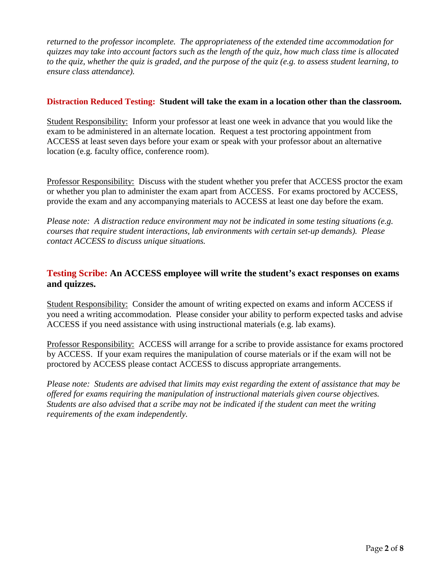*returned to the professor incomplete. The appropriateness of the extended time accommodation for quizzes may take into account factors such as the length of the quiz, how much class time is allocated to the quiz, whether the quiz is graded, and the purpose of the quiz (e.g. to assess student learning, to ensure class attendance).* 

#### **Distraction Reduced Testing: Student will take the exam in a location other than the classroom.**

Student Responsibility: Inform your professor at least one week in advance that you would like the exam to be administered in an alternate location. Request a test proctoring appointment from ACCESS at least seven days before your exam or speak with your professor about an alternative location (e.g. faculty office, conference room).

Professor Responsibility: Discuss with the student whether you prefer that ACCESS proctor the exam or whether you plan to administer the exam apart from ACCESS. For exams proctored by ACCESS, provide the exam and any accompanying materials to ACCESS at least one day before the exam.

*Please note: A distraction reduce environment may not be indicated in some testing situations (e.g. courses that require student interactions, lab environments with certain set-up demands). Please contact ACCESS to discuss unique situations.* 

# **Testing Scribe: An ACCESS employee will write the student's exact responses on exams and quizzes.**

Student Responsibility: Consider the amount of writing expected on exams and inform ACCESS if you need a writing accommodation. Please consider your ability to perform expected tasks and advise ACCESS if you need assistance with using instructional materials (e.g. lab exams).

Professor Responsibility: ACCESS will arrange for a scribe to provide assistance for exams proctored by ACCESS. If your exam requires the manipulation of course materials or if the exam will not be proctored by ACCESS please contact ACCESS to discuss appropriate arrangements.

*Please note: Students are advised that limits may exist regarding the extent of assistance that may be offered for exams requiring the manipulation of instructional materials given course objectives. Students are also advised that a scribe may not be indicated if the student can meet the writing requirements of the exam independently.*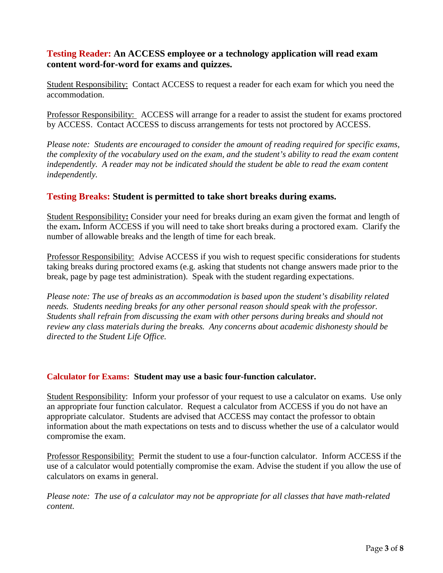# **Testing Reader: An ACCESS employee or a technology application will read exam content word-for-word for exams and quizzes.**

Student Responsibility: Contact ACCESS to request a reader for each exam for which you need the accommodation.

Professor Responsibility: ACCESS will arrange for a reader to assist the student for exams proctored by ACCESS. Contact ACCESS to discuss arrangements for tests not proctored by ACCESS.

*Please note: Students are encouraged to consider the amount of reading required for specific exams, the complexity of the vocabulary used on the exam, and the student's ability to read the exam content independently. A reader may not be indicated should the student be able to read the exam content independently.* 

# **Testing Breaks: Student is permitted to take short breaks during exams.**

Student Responsibility**:** Consider your need for breaks during an exam given the format and length of the exam**.** Inform ACCESS if you will need to take short breaks during a proctored exam. Clarify the number of allowable breaks and the length of time for each break.

Professor Responsibility: Advise ACCESS if you wish to request specific considerations for students taking breaks during proctored exams (e.g. asking that students not change answers made prior to the break, page by page test administration). Speak with the student regarding expectations.

*Please note: The use of breaks as an accommodation is based upon the student's disability related needs. Students needing breaks for any other personal reason should speak with the professor. Students shall refrain from discussing the exam with other persons during breaks and should not review any class materials during the breaks. Any concerns about academic dishonesty should be directed to the Student Life Office.*

#### **Calculator for Exams: Student may use a basic four-function calculator.**

Student Responsibility:Inform your professor of your request to use a calculator on exams. Use only an appropriate four function calculator. Request a calculator from ACCESS if you do not have an appropriate calculator. Students are advised that ACCESS may contact the professor to obtain information about the math expectations on tests and to discuss whether the use of a calculator would compromise the exam.

Professor Responsibility:Permit the student to use a four-function calculator. Inform ACCESS if the use of a calculator would potentially compromise the exam. Advise the student if you allow the use of calculators on exams in general.

*Please note: The use of a calculator may not be appropriate for all classes that have math-related content.*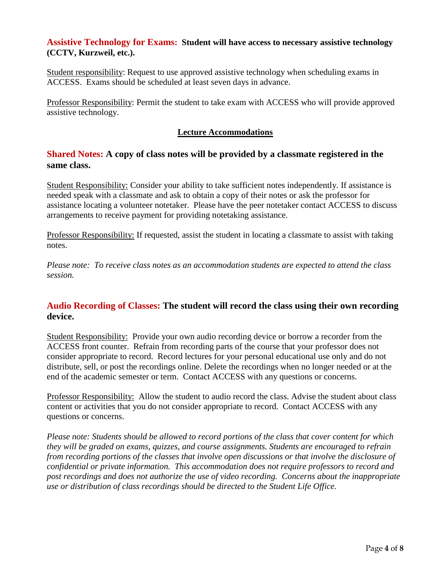## **Assistive Technology for Exams: Student will have access to necessary assistive technology (CCTV, Kurzweil, etc.).**

Student responsibility: Request to use approved assistive technology when scheduling exams in ACCESS. Exams should be scheduled at least seven days in advance.

Professor Responsibility: Permit the student to take exam with ACCESS who will provide approved assistive technology.

### **Lecture Accommodations**

# **Shared Notes: A copy of class notes will be provided by a classmate registered in the same class.**

Student Responsibility: Consider your ability to take sufficient notes independently. If assistance is needed speak with a classmate and ask to obtain a copy of their notes or ask the professor for assistance locating a volunteer notetaker. Please have the peer notetaker contact ACCESS to discuss arrangements to receive payment for providing notetaking assistance.

Professor Responsibility: If requested, assist the student in locating a classmate to assist with taking notes.

*Please note: To receive class notes as an accommodation students are expected to attend the class session.*

# **Audio Recording of Classes: The student will record the class using their own recording device.**

Student Responsibility: Provide your own audio recording device or borrow a recorder from the ACCESS front counter. Refrain from recording parts of the course that your professor does not consider appropriate to record. Record lectures for your personal educational use only and do not distribute, sell, or post the recordings online. Delete the recordings when no longer needed or at the end of the academic semester or term. Contact ACCESS with any questions or concerns.

Professor Responsibility: Allow the student to audio record the class. Advise the student about class content or activities that you do not consider appropriate to record. Contact ACCESS with any questions or concerns.

*Please note: Students should be allowed to record portions of the class that cover content for which they will be graded on exams, quizzes, and course assignments. Students are encouraged to refrain from recording portions of the classes that involve open discussions or that involve the disclosure of confidential or private information. This accommodation does not require professors to record and post recordings and does not authorize the use of video recording. Concerns about the inappropriate use or distribution of class recordings should be directed to the Student Life Office.*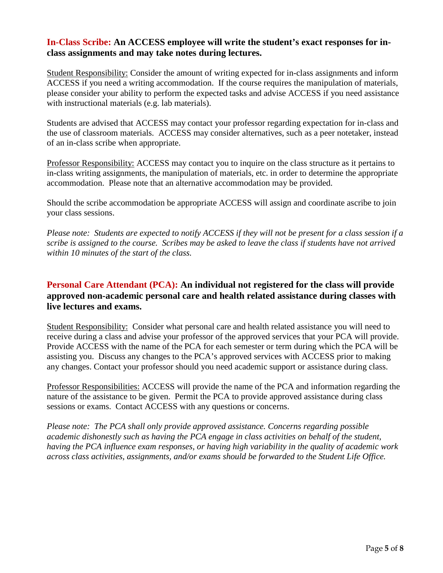## **In-Class Scribe: An ACCESS employee will write the student's exact responses for inclass assignments and may take notes during lectures.**

Student Responsibility: Consider the amount of writing expected for in-class assignments and inform ACCESS if you need a writing accommodation. If the course requires the manipulation of materials, please consider your ability to perform the expected tasks and advise ACCESS if you need assistance with instructional materials (e.g. lab materials).

Students are advised that ACCESS may contact your professor regarding expectation for in-class and the use of classroom materials. ACCESS may consider alternatives, such as a peer notetaker, instead of an in-class scribe when appropriate.

Professor Responsibility: ACCESS may contact you to inquire on the class structure as it pertains to in-class writing assignments, the manipulation of materials, etc. in order to determine the appropriate accommodation. Please note that an alternative accommodation may be provided.

Should the scribe accommodation be appropriate ACCESS will assign and coordinate ascribe to join your class sessions.

*Please note: Students are expected to notify ACCESS if they will not be present for a class session if a scribe is assigned to the course. Scribes may be asked to leave the class if students have not arrived within 10 minutes of the start of the class.* 

# **Personal Care Attendant (PCA): An individual not registered for the class will provide approved non-academic personal care and health related assistance during classes with live lectures and exams.**

Student Responsibility:Consider what personal care and health related assistance you will need to receive during a class and advise your professor of the approved services that your PCA will provide. Provide ACCESS with the name of the PCA for each semester or term during which the PCA will be assisting you. Discuss any changes to the PCA's approved services with ACCESS prior to making any changes. Contact your professor should you need academic support or assistance during class.

Professor Responsibilities: ACCESS will provide the name of the PCA and information regarding the nature of the assistance to be given. Permit the PCA to provide approved assistance during class sessions or exams. Contact ACCESS with any questions or concerns.

*Please note: The PCA shall only provide approved assistance. Concerns regarding possible academic dishonestly such as having the PCA engage in class activities on behalf of the student, having the PCA influence exam responses, or having high variability in the quality of academic work across class activities, assignments, and/or exams should be forwarded to the Student Life Office.*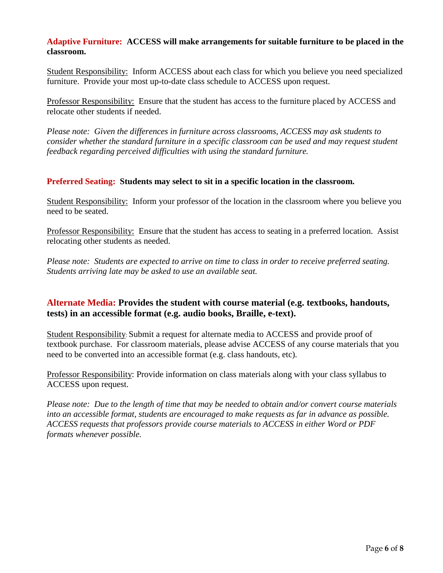### **Adaptive Furniture: ACCESS will make arrangements for suitable furniture to be placed in the classroom.**

Student Responsibility:Inform ACCESS about each class for which you believe you need specialized furniture. Provide your most up-to-date class schedule to ACCESS upon request.

Professor Responsibility: Ensure that the student has access to the furniture placed by ACCESS and relocate other students if needed.

*Please note: Given the differences in furniture across classrooms, ACCESS may ask students to consider whether the standard furniture in a specific classroom can be used and may request student feedback regarding perceived difficulties with using the standard furniture.* 

### **Preferred Seating: Students may select to sit in a specific location in the classroom.**

Student Responsibility:Inform your professor of the location in the classroom where you believe you need to be seated.

Professor Responsibility: Ensure that the student has access to seating in a preferred location. Assist relocating other students as needed.

*Please note: Students are expected to arrive on time to class in order to receive preferred seating. Students arriving late may be asked to use an available seat.* 

## **Alternate Media: Provides the student with course material (e.g. textbooks, handouts, tests) in an accessible format (e.g. audio books, Braille, e-text).**

Student Responsibility: Submit a request for alternate media to ACCESS and provide proof of textbook purchase. For classroom materials, please advise ACCESS of any course materials that you need to be converted into an accessible format (e.g. class handouts, etc).

Professor Responsibility: Provide information on class materials along with your class syllabus to ACCESS upon request.

*Please note: Due to the length of time that may be needed to obtain and/or convert course materials into an accessible format, students are encouraged to make requests as far in advance as possible. ACCESS requests that professors provide course materials to ACCESS in either Word or PDF formats whenever possible.*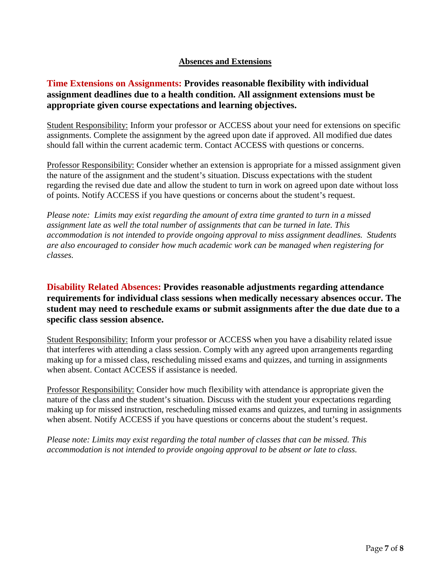## **Absences and Extensions**

# **Time Extensions on Assignments: Provides reasonable flexibility with individual assignment deadlines due to a health condition. All assignment extensions must be appropriate given course expectations and learning objectives.**

Student Responsibility: Inform your professor or ACCESS about your need for extensions on specific assignments. Complete the assignment by the agreed upon date if approved. All modified due dates should fall within the current academic term. Contact ACCESS with questions or concerns.

Professor Responsibility: Consider whether an extension is appropriate for a missed assignment given the nature of the assignment and the student's situation. Discuss expectations with the student regarding the revised due date and allow the student to turn in work on agreed upon date without loss of points. Notify ACCESS if you have questions or concerns about the student's request.

*Please note: Limits may exist regarding the amount of extra time granted to turn in a missed assignment late as well the total number of assignments that can be turned in late. This accommodation is not intended to provide ongoing approval to miss assignment deadlines. Students are also encouraged to consider how much academic work can be managed when registering for classes.*

# **Disability Related Absences: Provides reasonable adjustments regarding attendance requirements for individual class sessions when medically necessary absences occur. The student may need to reschedule exams or submit assignments after the due date due to a specific class session absence.**

Student Responsibility: Inform your professor or ACCESS when you have a disability related issue that interferes with attending a class session. Comply with any agreed upon arrangements regarding making up for a missed class, rescheduling missed exams and quizzes, and turning in assignments when absent. Contact ACCESS if assistance is needed.

Professor Responsibility: Consider how much flexibility with attendance is appropriate given the nature of the class and the student's situation. Discuss with the student your expectations regarding making up for missed instruction, rescheduling missed exams and quizzes, and turning in assignments when absent. Notify ACCESS if you have questions or concerns about the student's request.

*Please note: Limits may exist regarding the total number of classes that can be missed. This accommodation is not intended to provide ongoing approval to be absent or late to class.*